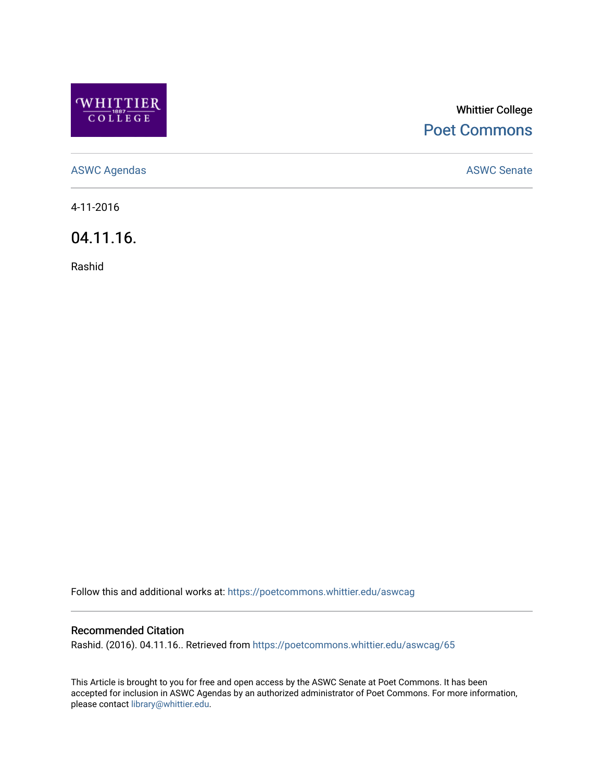

# Whittier College [Poet Commons](https://poetcommons.whittier.edu/)

[ASWC Agendas](https://poetcommons.whittier.edu/aswcag) **ASWC Senate** 

4-11-2016

04.11.16.

Rashid

Follow this and additional works at: [https://poetcommons.whittier.edu/aswcag](https://poetcommons.whittier.edu/aswcag?utm_source=poetcommons.whittier.edu%2Faswcag%2F65&utm_medium=PDF&utm_campaign=PDFCoverPages) 

## Recommended Citation

Rashid. (2016). 04.11.16.. Retrieved from [https://poetcommons.whittier.edu/aswcag/65](https://poetcommons.whittier.edu/aswcag/65?utm_source=poetcommons.whittier.edu%2Faswcag%2F65&utm_medium=PDF&utm_campaign=PDFCoverPages)

This Article is brought to you for free and open access by the ASWC Senate at Poet Commons. It has been accepted for inclusion in ASWC Agendas by an authorized administrator of Poet Commons. For more information, please contact [library@whittier.edu](mailto:library@whittier.edu).